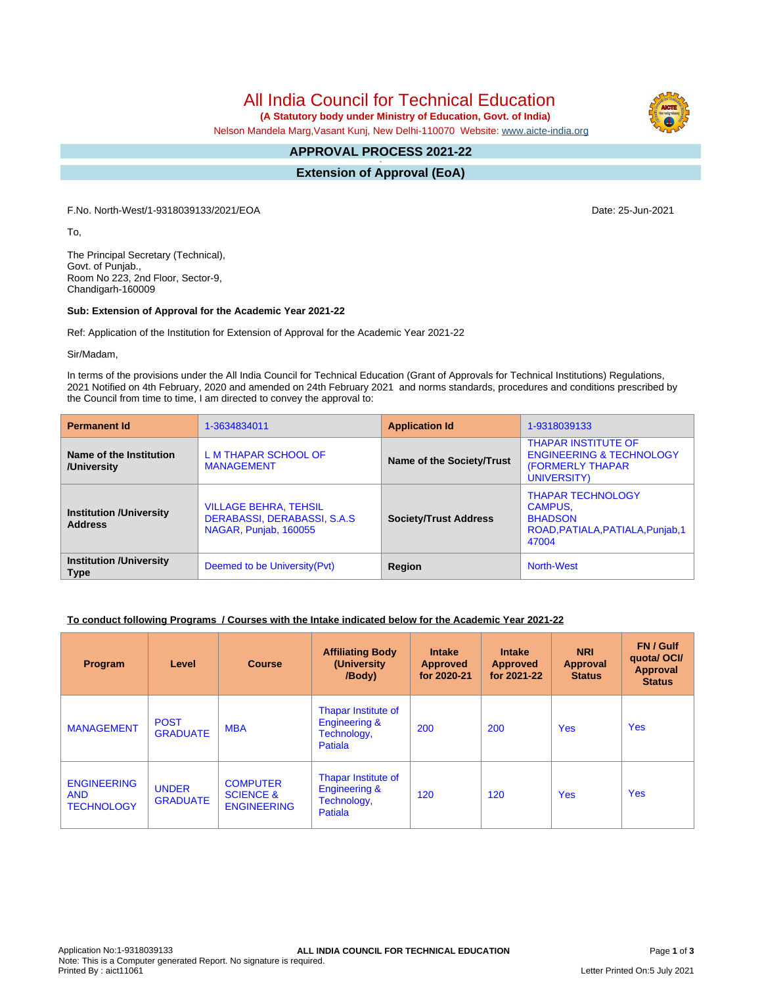# All India Council for Technical Education

 **(A Statutory body under Ministry of Education, Govt. of India)**

Nelson Mandela Marg,Vasant Kunj, New Delhi-110070 Website: [www.aicte-india.org](http://www.aicte-india.org)

#### **APPROVAL PROCESS 2021-22 -**

**Extension of Approval (EoA)**

F.No. North-West/1-9318039133/2021/EOA Date: 25-Jun-2021

To,

The Principal Secretary (Technical), Govt. of Punjab., Room No 223, 2nd Floor, Sector-9, Chandigarh-160009

#### **Sub: Extension of Approval for the Academic Year 2021-22**

Ref: Application of the Institution for Extension of Approval for the Academic Year 2021-22

Sir/Madam,

In terms of the provisions under the All India Council for Technical Education (Grant of Approvals for Technical Institutions) Regulations, 2021 Notified on 4th February, 2020 and amended on 24th February 2021 and norms standards, procedures and conditions prescribed by the Council from time to time, I am directed to convey the approval to:

| <b>Permanent Id</b>                              | 1-3634834011                                                                          | <b>Application Id</b>        | 1-9318039133                                                                                                 |  |
|--------------------------------------------------|---------------------------------------------------------------------------------------|------------------------------|--------------------------------------------------------------------------------------------------------------|--|
| Name of the Institution<br>/University           | L M THAPAR SCHOOL OF<br><b>MANAGEMENT</b>                                             | Name of the Society/Trust    | <b>THAPAR INSTITUTE OF</b><br><b>ENGINEERING &amp; TECHNOLOGY</b><br><b>(FORMERLY THAPAR)</b><br>UNIVERSITY) |  |
| <b>Institution /University</b><br><b>Address</b> | <b>VILLAGE BEHRA, TEHSIL</b><br>DERABASSI, DERABASSI, S.A.S.<br>NAGAR, Punjab, 160055 | <b>Society/Trust Address</b> | <b>THAPAR TECHNOLOGY</b><br><b>CAMPUS.</b><br><b>BHADSON</b><br>ROAD, PATIALA, PATIALA, Punjab, 1<br>47004   |  |
| <b>Institution /University</b><br><b>Type</b>    | Deemed to be University (Pvt)                                                         |                              | <b>North-West</b>                                                                                            |  |

#### **To conduct following Programs / Courses with the Intake indicated below for the Academic Year 2021-22**

| <b>Program</b>                                        | Level                           | <b>Course</b>                                                 | <b>Affiliating Body</b><br>(University<br>/Body)                                 | <b>Intake</b><br><b>Approved</b><br>for 2020-21 | <b>Intake</b><br><b>Approved</b><br>for 2021-22 | <b>NRI</b><br><b>Approval</b><br><b>Status</b> | FN / Gulf<br>quotal OCI/<br>Approval<br><b>Status</b> |
|-------------------------------------------------------|---------------------------------|---------------------------------------------------------------|----------------------------------------------------------------------------------|-------------------------------------------------|-------------------------------------------------|------------------------------------------------|-------------------------------------------------------|
| <b>MANAGEMENT</b>                                     | <b>POST</b><br><b>GRADUATE</b>  | <b>MBA</b>                                                    | Thapar Institute of<br><b>Engineering &amp;</b><br>Technology,<br>Patiala        | 200                                             | 200                                             | <b>Yes</b>                                     | <b>Yes</b>                                            |
| <b>ENGINEERING</b><br><b>AND</b><br><b>TECHNOLOGY</b> | <b>UNDER</b><br><b>GRADUATE</b> | <b>COMPUTER</b><br><b>SCIENCE &amp;</b><br><b>ENGINEERING</b> | <b>Thapar Institute of</b><br><b>Engineering &amp;</b><br>Technology,<br>Patiala | 120                                             | 120                                             | <b>Yes</b>                                     | <b>Yes</b>                                            |